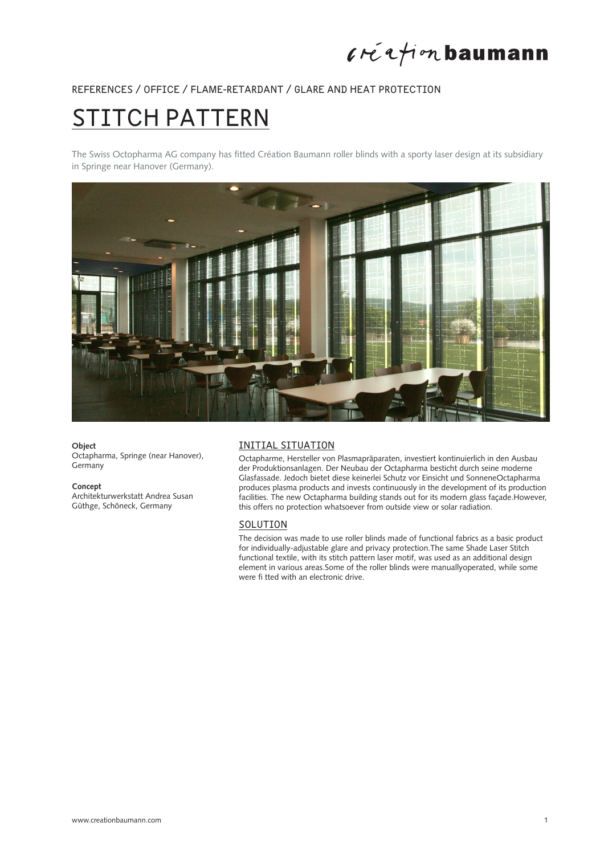### $l$ réation baumann

### REFERENCES / OFFICE / FLAME-RETARDANT / GLARE AND HEAT PROTECTION

# STITCH PATTERN

The Swiss Octopharma AG company has fitted Création Baumann roller blinds with a sporty laser design at its subsidiary in Springe near Hanover (Germany).



#### **Object**

Octapharma, Springe (near Hanover), Germany

#### **Concept**

Architekturwerkstatt Andrea Susan Güthge, Schöneck, Germany

### INITIAL SITUATION

Octapharme, Hersteller von Plasmapräparaten, investiert kontinuierlich in den Ausbau der Produktionsanlagen. Der Neubau der Octapharma besticht durch seine moderne Glasfassade. Jedoch bietet diese keinerlei Schutz vor Einsicht und SonneneOctapharma produces plasma products and invests continuously in the development of its production facilities. The new Octapharma building stands out for its modern glass façade.However, this offers no protection whatsoever from outside view or solar radiation.

#### **SOLUTION**

The decision was made to use roller blinds made of functional fabrics as a basic product for individually-adjustable glare and privacy protection.The same Shade Laser Stitch functional textile, with its stitch pattern laser motif, was used as an additional design element in various areas.Some of the roller blinds were manuallyoperated, while some were fi tted with an electronic drive.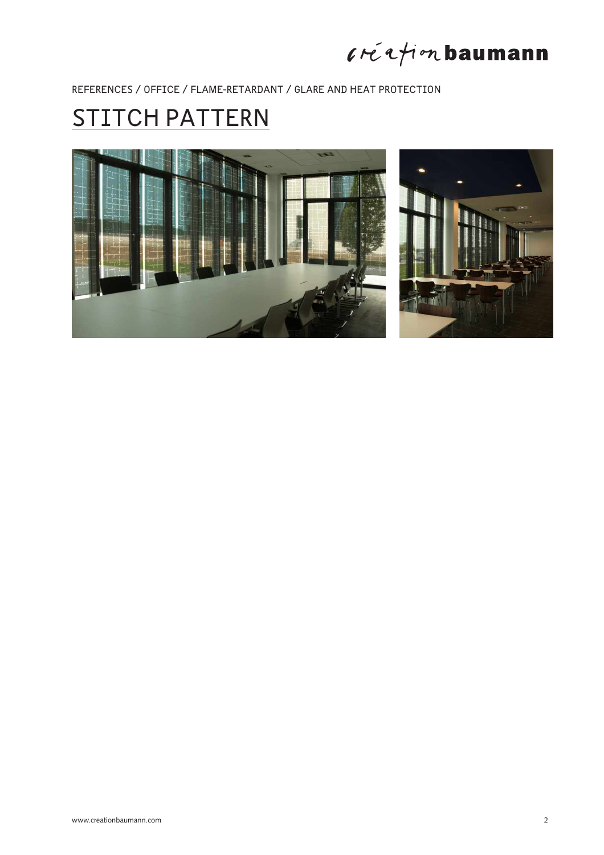# $l$ ré $l$ tion baumann

REFERENCES / OFFICE / FLAME-RETARDANT / GLARE AND HEAT PROTECTION

# STITCH PATTERN